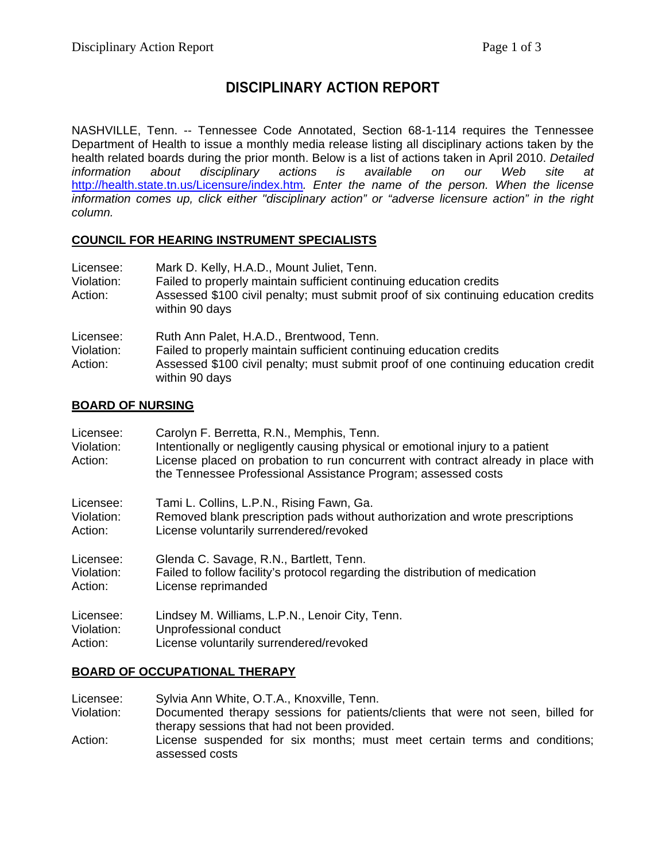# **DISCIPLINARY ACTION REPORT**

NASHVILLE, Tenn. -- Tennessee Code Annotated, Section 68-1-114 requires the Tennessee Department of Health to issue a monthly media release listing all disciplinary actions taken by the health related boards during the prior month. Below is a list of actions taken in April 2010. *Detailed information about disciplinary actions is available on our Web site at*  <http://health.state.tn.us/Licensure/index.htm>*. Enter the name of the person. When the license information comes up, click either "disciplinary action" or "adverse licensure action" in the right column.* 

#### **COUNCIL FOR HEARING INSTRUMENT SPECIALISTS**

| Licensee:<br>Violation:<br>Action: | Mark D. Kelly, H.A.D., Mount Juliet, Tenn.<br>Failed to properly maintain sufficient continuing education credits<br>Assessed \$100 civil penalty; must submit proof of six continuing education credits<br>within 90 days |
|------------------------------------|----------------------------------------------------------------------------------------------------------------------------------------------------------------------------------------------------------------------------|
| Licensee:<br>Violation:<br>Action: | Ruth Ann Palet, H.A.D., Brentwood, Tenn.<br>Failed to properly maintain sufficient continuing education credits<br>Assessed \$100 civil penalty; must submit proof of one continuing education credit<br>within 90 days    |

#### **BOARD OF NURSING**

| Licensee:<br>Violation:<br>Action: | Carolyn F. Berretta, R.N., Memphis, Tenn.<br>Intentionally or negligently causing physical or emotional injury to a patient<br>License placed on probation to run concurrent with contract already in place with<br>the Tennessee Professional Assistance Program; assessed costs |
|------------------------------------|-----------------------------------------------------------------------------------------------------------------------------------------------------------------------------------------------------------------------------------------------------------------------------------|
| Licensee:                          | Tami L. Collins, L.P.N., Rising Fawn, Ga.                                                                                                                                                                                                                                         |
| Violation:                         | Removed blank prescription pads without authorization and wrote prescriptions                                                                                                                                                                                                     |
| Action:                            | License voluntarily surrendered/revoked                                                                                                                                                                                                                                           |
| Licensee:                          | Glenda C. Savage, R.N., Bartlett, Tenn.                                                                                                                                                                                                                                           |
| Violation:                         | Failed to follow facility's protocol regarding the distribution of medication                                                                                                                                                                                                     |
| Action:                            | License reprimanded                                                                                                                                                                                                                                                               |
| Licensee:                          | Lindsey M. Williams, L.P.N., Lenoir City, Tenn.                                                                                                                                                                                                                                   |
| Violation:                         | Unprofessional conduct                                                                                                                                                                                                                                                            |
| Action:                            | License voluntarily surrendered/revoked                                                                                                                                                                                                                                           |

### **BOARD OF OCCUPATIONAL THERAPY**

Licensee: Sylvia Ann White, O.T.A., Knoxville, Tenn. Violation: Documented therapy sessions for patients/clients that were not seen, billed for therapy sessions that had not been provided. Action: License suspended for six months; must meet certain terms and conditions; assessed costs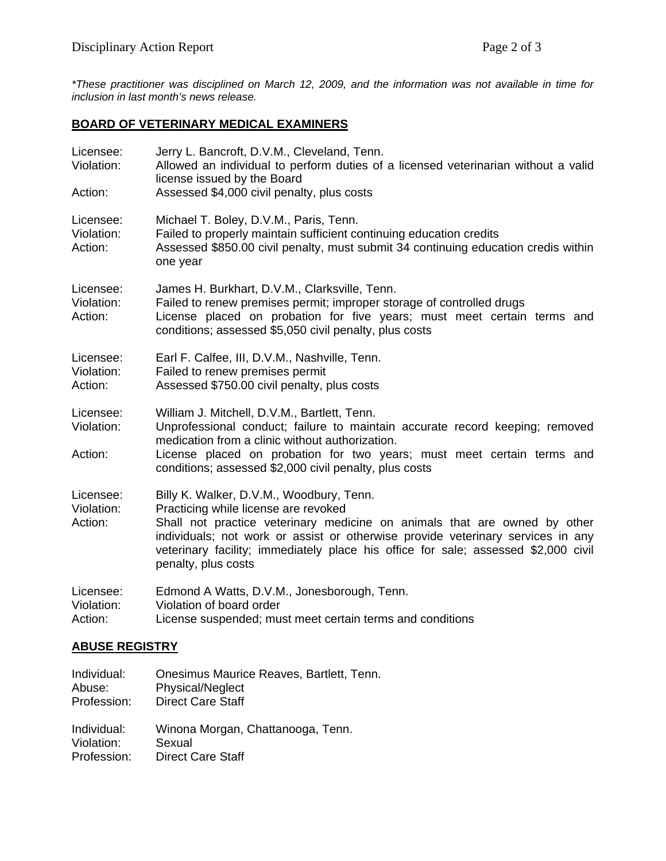*\*These practitioner was disciplined on March 12, 2009, and the information was not available in time for inclusion in last month's news release.* 

#### **BOARD OF VETERINARY MEDICAL EXAMINERS**

| Licensee:<br>Violation:<br>Action: | Jerry L. Bancroft, D.V.M., Cleveland, Tenn.<br>Allowed an individual to perform duties of a licensed veterinarian without a valid<br>license issued by the Board<br>Assessed \$4,000 civil penalty, plus costs                                                                                                                                                |
|------------------------------------|---------------------------------------------------------------------------------------------------------------------------------------------------------------------------------------------------------------------------------------------------------------------------------------------------------------------------------------------------------------|
| Licensee:<br>Violation:<br>Action: | Michael T. Boley, D.V.M., Paris, Tenn.<br>Failed to properly maintain sufficient continuing education credits<br>Assessed \$850.00 civil penalty, must submit 34 continuing education credis within<br>one year                                                                                                                                               |
| Licensee:<br>Violation:<br>Action: | James H. Burkhart, D.V.M., Clarksville, Tenn.<br>Failed to renew premises permit; improper storage of controlled drugs<br>License placed on probation for five years; must meet certain terms and<br>conditions; assessed \$5,050 civil penalty, plus costs                                                                                                   |
| Licensee:<br>Violation:<br>Action: | Earl F. Calfee, III, D.V.M., Nashville, Tenn.<br>Failed to renew premises permit<br>Assessed \$750.00 civil penalty, plus costs                                                                                                                                                                                                                               |
| Licensee:<br>Violation:<br>Action: | William J. Mitchell, D.V.M., Bartlett, Tenn.<br>Unprofessional conduct; failure to maintain accurate record keeping; removed<br>medication from a clinic without authorization.<br>License placed on probation for two years; must meet certain terms and<br>conditions; assessed \$2,000 civil penalty, plus costs                                           |
| Licensee:<br>Violation:<br>Action: | Billy K. Walker, D.V.M., Woodbury, Tenn.<br>Practicing while license are revoked<br>Shall not practice veterinary medicine on animals that are owned by other<br>individuals; not work or assist or otherwise provide veterinary services in any<br>veterinary facility; immediately place his office for sale; assessed \$2,000 civil<br>penalty, plus costs |
| Licensee:<br>Violation:<br>Action: | Edmond A Watts, D.V.M., Jonesborough, Tenn.<br>Violation of board order<br>License suspended; must meet certain terms and conditions                                                                                                                                                                                                                          |

## **ABUSE REGISTRY**

| Individual: | Onesimus Maurice Reaves, Bartlett, Tenn. |
|-------------|------------------------------------------|
| Abuse:      | <b>Physical/Neglect</b>                  |
| Profession: | <b>Direct Care Staff</b>                 |
| Individual: | Winona Morgan, Chattanooga, Tenn.        |
| Violation:  | Sexual                                   |
| Profession: | <b>Direct Care Staff</b>                 |